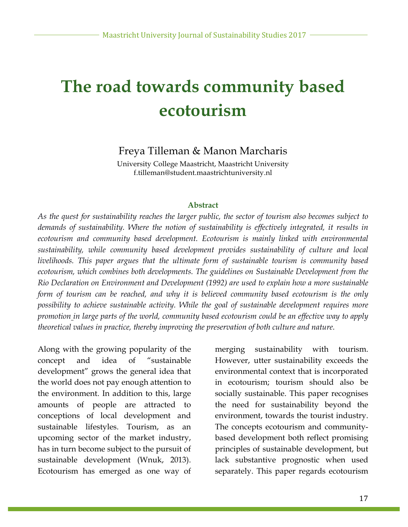# **The road towards community based ecotourism**

### Freya Tilleman & Manon Marcharis

University College Maastricht, Maastricht University f.tilleman@student.maastrichtuniversity.nl

#### **Abstract**

*As the quest for sustainability reaches the larger public, the sector of tourism also becomes subject to demands of sustainability. Where the notion of sustainability is effectively integrated, it results in ecotourism and community based development. Ecotourism is mainly linked with environmental sustainability, while community based development provides sustainability of culture and local livelihoods. This paper argues that the ultimate form of sustainable tourism is community based ecotourism, which combines both developments. The guidelines on Sustainable Development from the Rio Declaration on Environment and Development (1992) are used to explain how a more sustainable form of tourism can be reached, and why it is believed community based ecotourism is the only possibility to achieve sustainable activity. While the goal of sustainable development requires more promotion in large parts of the world, community based ecotourism could be an effective way to apply theoretical values in practice, thereby improving the preservation of both culture and nature.*

Along with the growing popularity of the concept and idea of "sustainable development" grows the general idea that the world does not pay enough attention to the environment. In addition to this, large amounts of people are attracted to conceptions of local development and sustainable lifestyles. Tourism, as an upcoming sector of the market industry, has in turn become subject to the pursuit of sustainable development (Wnuk, 2013). Ecotourism has emerged as one way of

merging sustainability with tourism. However, utter sustainability exceeds the environmental context that is incorporated in ecotourism; tourism should also be socially sustainable. This paper recognises the need for sustainability beyond the environment, towards the tourist industry. The concepts ecotourism and communitybased development both reflect promising principles of sustainable development, but lack substantive prognostic when used separately. This paper regards ecotourism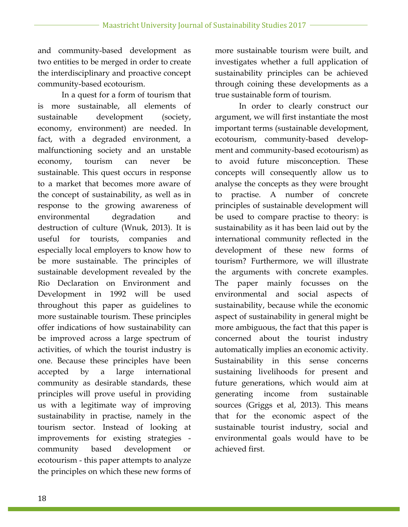and community-based development as two entities to be merged in order to create the interdisciplinary and proactive concept community-based ecotourism.

In a quest for a form of tourism that is more sustainable, all elements of sustainable development (society, economy, environment) are needed. In fact, with a degraded environment, a malfunctioning society and an unstable economy, tourism can never be sustainable. This quest occurs in response to a market that becomes more aware of the concept of sustainability, as well as in response to the growing awareness of environmental degradation and destruction of culture (Wnuk, 2013). It is useful for tourists, companies and especially local employers to know how to be more sustainable. The principles of sustainable development revealed by the Rio Declaration on Environment and Development in 1992 will be used throughout this paper as guidelines to more sustainable tourism. These principles offer indications of how sustainability can be improved across a large spectrum of activities, of which the tourist industry is one. Because these principles have been accepted by a large international community as desirable standards, these principles will prove useful in providing us with a legitimate way of improving sustainability in practise, namely in the tourism sector. Instead of looking at improvements for existing strategies community based development or ecotourism - this paper attempts to analyze the principles on which these new forms of

more sustainable tourism were built, and investigates whether a full application of sustainability principles can be achieved through coining these developments as a true sustainable form of tourism.

In order to clearly construct our argument, we will first instantiate the most important terms (sustainable development, ecotourism, community-based development and community-based ecotourism) as to avoid future misconception. These concepts will consequently allow us to analyse the concepts as they were brought to practise. A number of concrete principles of sustainable development will be used to compare practise to theory: is sustainability as it has been laid out by the international community reflected in the development of these new forms of tourism? Furthermore, we will illustrate the arguments with concrete examples. The paper mainly focusses on the environmental and social aspects of sustainability, because while the economic aspect of sustainability in general might be more ambiguous, the fact that this paper is concerned about the tourist industry automatically implies an economic activity. Sustainability in this sense concerns sustaining livelihoods for present and future generations, which would aim at generating income from sustainable sources (Griggs et al, 2013). This means that for the economic aspect of the sustainable tourist industry, social and environmental goals would have to be achieved first.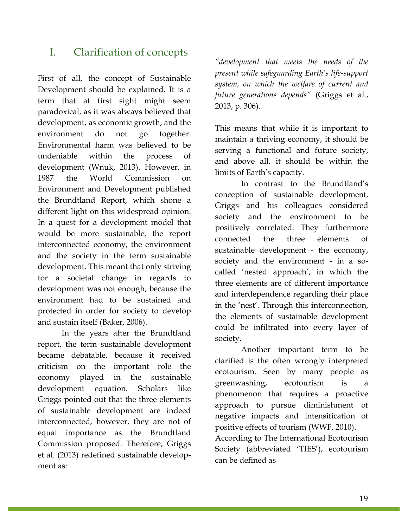# I. Clarification of concepts

First of all, the concept of Sustainable Development should be explained. It is a term that at first sight might seem paradoxical, as it was always believed that development, as economic growth, and the environment do not go together. Environmental harm was believed to be undeniable within the process of development (Wnuk, 2013). However, in 1987 the World Commission on Environment and Development published the Brundtland Report, which shone a different light on this widespread opinion. In a quest for a development model that would be more sustainable, the report interconnected economy, the environment and the society in the term sustainable development. This meant that only striving for a societal change in regards to development was not enough, because the environment had to be sustained and protected in order for society to develop and sustain itself (Baker, 2006).

In the years after the Brundtland report, the term sustainable development became debatable, because it received criticism on the important role the economy played in the sustainable development equation. Scholars like Griggs pointed out that the three elements of sustainable development are indeed interconnected, however, they are not of equal importance as the Brundtland Commission proposed. Therefore, Griggs et al. (2013) redefined sustainable development as:

*"development that meets the needs of the present while safeguarding Earth's life-support system, on which the welfare of current and future generations depends"* (Griggs et al., 2013, p. 306).

This means that while it is important to maintain a thriving economy, it should be serving a functional and future society, and above all, it should be within the limits of Earth's capacity.

In contrast to the Brundtland's conception of sustainable development, Griggs and his colleagues considered society and the environment to be positively correlated. They furthermore connected the three elements of sustainable development - the economy, society and the environment - in a socalled 'nested approach', in which the three elements are of different importance and interdependence regarding their place in the 'nest'. Through this interconnection, the elements of sustainable development could be infiltrated into every layer of society.

Another important term to be clarified is the often wrongly interpreted ecotourism. Seen by many people as greenwashing, ecotourism is a phenomenon that requires a proactive approach to pursue diminishment of negative impacts and intensification of positive effects of tourism (WWF, 2010).

According to The International Ecotourism Society (abbreviated 'TIES'), ecotourism can be defined as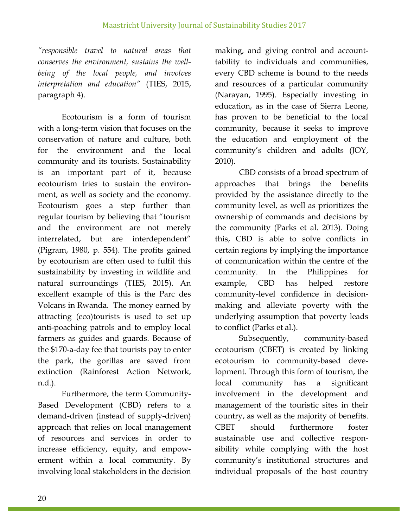*"responsible travel to natural areas that conserves the environment, sustains the wellbeing of the local people, and involves interpretation and education"* (TIES, 2015, paragraph 4).

Ecotourism is a form of tourism with a long-term vision that focuses on the conservation of nature and culture, both for the environment and the local community and its tourists. Sustainability is an important part of it, because ecotourism tries to sustain the environment, as well as society and the economy. Ecotourism goes a step further than regular tourism by believing that "tourism and the environment are not merely interrelated, but are interdependent" (Pigram, 1980, p. 554). The profits gained by ecotourism are often used to fulfil this sustainability by investing in wildlife and natural surroundings (TIES, 2015). An excellent example of this is the Parc des Volcans in Rwanda. The money earned by attracting (eco)tourists is used to set up anti-poaching patrols and to employ local farmers as guides and guards. Because of the \$170-a-day fee that tourists pay to enter the park, the gorillas are saved from extinction (Rainforest Action Network, n.d.).

Furthermore, the term Community-Based Development (CBD) refers to a demand-driven (instead of supply-driven) approach that relies on local management of resources and services in order to increase efficiency, equity, and empowerment within a local community. By involving local stakeholders in the decision making, and giving control and accounttability to individuals and communities, every CBD scheme is bound to the needs and resources of a particular community (Narayan, 1995). Especially investing in education, as in the case of Sierra Leone, has proven to be beneficial to the local community, because it seeks to improve the education and employment of the community's children and adults (JOY, 2010).

CBD consists of a broad spectrum of approaches that brings the benefits provided by the assistance directly to the community level, as well as prioritizes the ownership of commands and decisions by the community (Parks et al. 2013). Doing this, CBD is able to solve conflicts in certain regions by implying the importance of communication within the centre of the community. In the Philippines for example, CBD has helped restore community-level confidence in decisionmaking and alleviate poverty with the underlying assumption that poverty leads to conflict (Parks et al.).

Subsequently, community-based ecotourism (CBET) is created by linking ecotourism to community-based development. Through this form of tourism, the local community has a significant involvement in the development and management of the touristic sites in their country, as well as the majority of benefits. CBET should furthermore foster sustainable use and collective responsibility while complying with the host community's institutional structures and individual proposals of the host country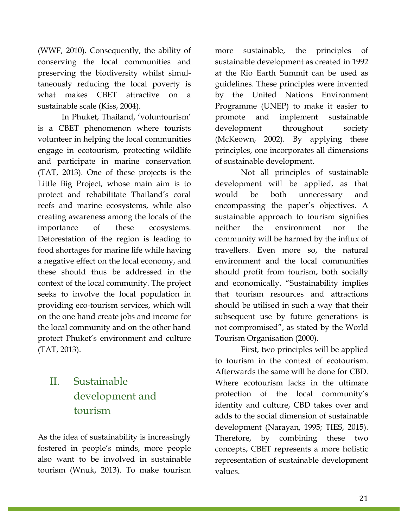(WWF, 2010). Consequently, the ability of conserving the local communities and preserving the biodiversity whilst simultaneously reducing the local poverty is what makes CBET attractive on a sustainable scale (Kiss, 2004).

In Phuket, Thailand, 'voluntourism' is a CBET phenomenon where tourists volunteer in helping the local communities engage in ecotourism, protecting wildlife and participate in marine conservation (TAT, 2013). One of these projects is the Little Big Project, whose main aim is to protect and rehabilitate Thailand's coral reefs and marine ecosystems, while also creating awareness among the locals of the importance of these ecosystems. Deforestation of the region is leading to food shortages for marine life while having a negative effect on the local economy, and these should thus be addressed in the context of the local community. The project seeks to involve the local population in providing eco-tourism services, which will on the one hand create jobs and income for the local community and on the other hand protect Phuket's environment and culture (TAT, 2013).

# II. Sustainable development and tourism

As the idea of sustainability is increasingly fostered in people's minds, more people also want to be involved in sustainable tourism (Wnuk, 2013). To make tourism more sustainable, the principles of sustainable development as created in 1992 at the Rio Earth Summit can be used as guidelines. These principles were invented by the United Nations Environment Programme (UNEP) to make it easier to promote and implement sustainable development throughout society (McKeown, 2002). By applying these principles, one incorporates all dimensions of sustainable development.

Not all principles of sustainable development will be applied, as that would be both unnecessary and encompassing the paper's objectives. A sustainable approach to tourism signifies neither the environment nor the community will be harmed by the influx of travellers. Even more so, the natural environment and the local communities should profit from tourism, both socially and economically. "Sustainability implies that tourism resources and attractions should be utilised in such a way that their subsequent use by future generations is not compromised", as stated by the World Tourism Organisation (2000).

First, two principles will be applied to tourism in the context of ecotourism. Afterwards the same will be done for CBD. Where ecotourism lacks in the ultimate protection of the local community's identity and culture, CBD takes over and adds to the social dimension of sustainable development (Narayan, 1995; TIES, 2015). Therefore, by combining these two concepts, CBET represents a more holistic representation of sustainable development values.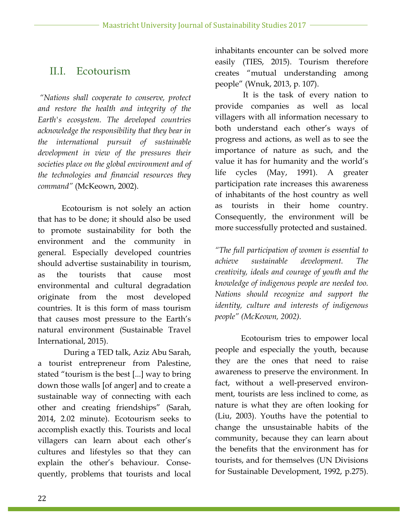# II.I. Ecotourism

*"Nations shall cooperate to conserve, protect and restore the health and integrity of the Earth's ecosystem. The developed countries acknowledge the responsibility that they bear in the international pursuit of sustainable development in view of the pressures their societies place on the global environment and of the technologies and financial resources they command"* (McKeown, 2002).

Ecotourism is not solely an action that has to be done; it should also be used to promote sustainability for both the environment and the community in general. Especially developed countries should advertise sustainability in tourism, as the tourists that cause most environmental and cultural degradation originate from the most developed countries. It is this form of mass tourism that causes most pressure to the Earth's natural environment (Sustainable Travel International, 2015).

During a TED talk, Aziz Abu Sarah, a tourist entrepreneur from Palestine, stated "tourism is the best [...] way to bring down those walls [of anger] and to create a sustainable way of connecting with each other and creating friendships" (Sarah, 2014, 2.02 minute). Ecotourism seeks to accomplish exactly this. Tourists and local villagers can learn about each other's cultures and lifestyles so that they can explain the other's behaviour. Consequently, problems that tourists and local inhabitants encounter can be solved more easily (TIES, 2015). Tourism therefore creates "mutual understanding among people" (Wnuk, 2013, p. 107).

It is the task of every nation to provide companies as well as local villagers with all information necessary to both understand each other's ways of progress and actions, as well as to see the importance of nature as such, and the value it has for humanity and the world's life cycles (May, 1991). A greater participation rate increases this awareness of inhabitants of the host country as well as tourists in their home country. Consequently, the environment will be more successfully protected and sustained.

*"The full participation of women is essential to achieve sustainable development. The creativity, ideals and courage of youth and the knowledge of indigenous people are needed too. Nations should recognize and support the identity, culture and interests of indigenous people" (McKeown, 2002).*

Ecotourism tries to empower local people and especially the youth, because they are the ones that need to raise awareness to preserve the environment. In fact, without a well-preserved environment, tourists are less inclined to come, as nature is what they are often looking for (Liu, 2003). Youths have the potential to change the unsustainable habits of the community, because they can learn about the benefits that the environment has for tourists, and for themselves (UN Divisions for Sustainable Development, 1992, p.275).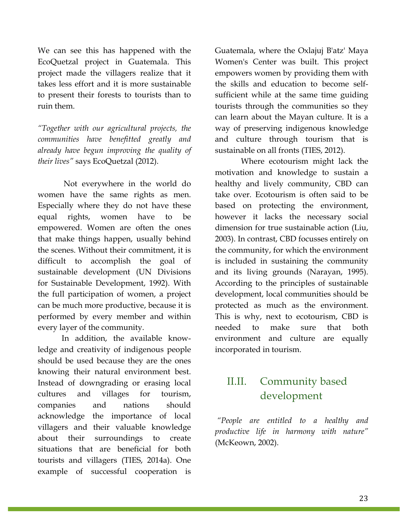We can see this has happened with the EcoQuetzal project in Guatemala. This project made the villagers realize that it takes less effort and it is more sustainable to present their forests to tourists than to ruin them.

*"Together with our agricultural projects, the communities have benefitted greatly and already have begun improving the quality of their lives"* says EcoQuetzal (2012).

Not everywhere in the world do women have the same rights as men. Especially where they do not have these equal rights, women have to be empowered. Women are often the ones that make things happen, usually behind the scenes. Without their commitment, it is difficult to accomplish the goal of sustainable development (UN Divisions for Sustainable Development, 1992). With the full participation of women, a project can be much more productive, because it is performed by every member and within every layer of the community.

In addition, the available knowledge and creativity of indigenous people should be used because they are the ones knowing their natural environment best. Instead of downgrading or erasing local cultures and villages for tourism, companies and nations should acknowledge the importance of local villagers and their valuable knowledge about their surroundings to create situations that are beneficial for both tourists and villagers (TIES, 2014a). One example of successful cooperation is Guatemala, where the Oxlajuj B'atz' Maya Women's Center was built. This project empowers women by providing them with the skills and education to become selfsufficient while at the same time guiding tourists through the communities so they can learn about the Mayan culture. It is a way of preserving indigenous knowledge and culture through tourism that is sustainable on all fronts (TIES, 2012).

Where ecotourism might lack the motivation and knowledge to sustain a healthy and lively community, CBD can take over. Ecotourism is often said to be based on protecting the environment, however it lacks the necessary social dimension for true sustainable action (Liu, 2003). In contrast, CBD focusses entirely on the community, for which the environment is included in sustaining the community and its living grounds (Narayan, 1995). According to the principles of sustainable development, local communities should be protected as much as the environment. This is why, next to ecotourism, CBD is needed to make sure that both environment and culture are equally incorporated in tourism.

# II.II. Community based development

*"People are entitled to a healthy and productive life in harmony with nature"*  (McKeown, 2002).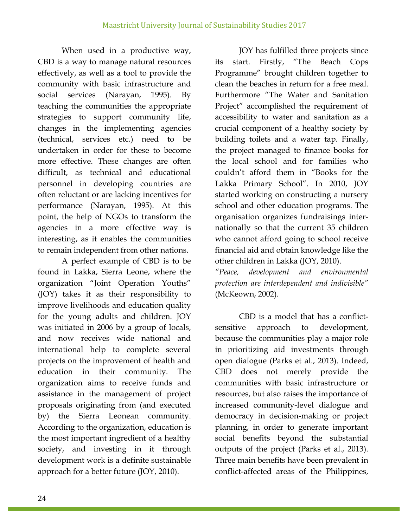When used in a productive way, CBD is a way to manage natural resources effectively, as well as a tool to provide the community with basic infrastructure and social services (Narayan, 1995). By teaching the communities the appropriate strategies to support community life, changes in the implementing agencies (technical, services etc.) need to be undertaken in order for these to become more effective. These changes are often difficult, as technical and educational personnel in developing countries are often reluctant or are lacking incentives for performance (Narayan, 1995). At this point, the help of NGOs to transform the agencies in a more effective way is interesting, as it enables the communities to remain independent from other nations.

A perfect example of CBD is to be found in Lakka, Sierra Leone, where the organization "Joint Operation Youths" (JOY) takes it as their responsibility to improve livelihoods and education quality for the young adults and children. JOY was initiated in 2006 by a group of locals, and now receives wide national and international help to complete several projects on the improvement of health and education in their community. The organization aims to receive funds and assistance in the management of project proposals originating from (and executed by) the Sierra Leonean community. According to the organization, education is the most important ingredient of a healthy society, and investing in it through development work is a definite sustainable approach for a better future (JOY, 2010).

JOY has fulfilled three projects since its start. Firstly, "The Beach Cops Programme" brought children together to clean the beaches in return for a free meal. Furthermore "The Water and Sanitation Project" accomplished the requirement of accessibility to water and sanitation as a crucial component of a healthy society by building toilets and a water tap. Finally, the project managed to finance books for the local school and for families who couldn't afford them in "Books for the Lakka Primary School". In 2010, JOY started working on constructing a nursery school and other education programs. The organisation organizes fundraisings internationally so that the current 35 children who cannot afford going to school receive financial aid and obtain knowledge like the other children in Lakka (JOY, 2010).

*"Peace, development and environmental protection are interdependent and indivisible"* (McKeown, 2002).

CBD is a model that has a conflictsensitive approach to development, because the communities play a major role in prioritizing aid investments through open dialogue (Parks et al., 2013). Indeed, CBD does not merely provide the communities with basic infrastructure or resources, but also raises the importance of increased community-level dialogue and democracy in decision-making or project planning, in order to generate important social benefits beyond the substantial outputs of the project (Parks et al., 2013). Three main benefits have been prevalent in conflict-affected areas of the Philippines,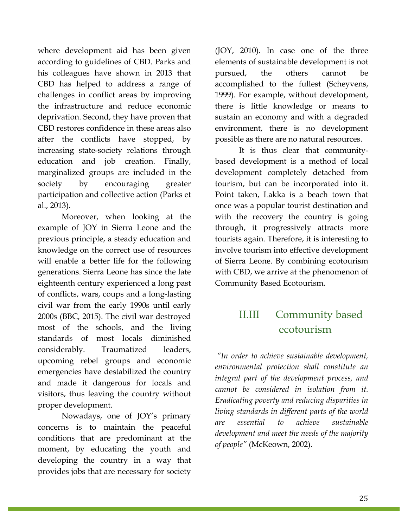where development aid has been given according to guidelines of CBD. Parks and his colleagues have shown in 2013 that CBD has helped to address a range of challenges in conflict areas by improving the infrastructure and reduce economic deprivation. Second, they have proven that CBD restores confidence in these areas also after the conflicts have stopped, by increasing state-society relations through education and job creation. Finally, marginalized groups are included in the society by encouraging greater participation and collective action (Parks et al., 2013).

Moreover, when looking at the example of JOY in Sierra Leone and the previous principle, a steady education and knowledge on the correct use of resources will enable a better life for the following generations. Sierra Leone has since the late eighteenth century experienced a long past of conflicts, wars, coups and a long-lasting civil war from the early 1990s until early 2000s (BBC, 2015). The civil war destroyed most of the schools, and the living standards of most locals diminished considerably. Traumatized leaders, upcoming rebel groups and economic emergencies have destabilized the country and made it dangerous for locals and visitors, thus leaving the country without proper development.

Nowadays, one of JOY's primary concerns is to maintain the peaceful conditions that are predominant at the moment, by educating the youth and developing the country in a way that provides jobs that are necessary for society (JOY, 2010). In case one of the three elements of sustainable development is not pursued, the others cannot be accomplished to the fullest (Scheyvens, 1999). For example, without development, there is little knowledge or means to sustain an economy and with a degraded environment, there is no development possible as there are no natural resources.

It is thus clear that communitybased development is a method of local development completely detached from tourism, but can be incorporated into it. Point taken, Lakka is a beach town that once was a popular tourist destination and with the recovery the country is going through, it progressively attracts more tourists again. Therefore, it is interesting to involve tourism into effective development of Sierra Leone. By combining ecotourism with CBD, we arrive at the phenomenon of Community Based Ecotourism.

# II.III Community based ecotourism

*"In order to achieve sustainable development, environmental protection shall constitute an integral part of the development process, and cannot be considered in isolation from it. Eradicating poverty and reducing disparities in living standards in different parts of the world are essential to achieve sustainable development and meet the needs of the majority of people"* (McKeown, 2002).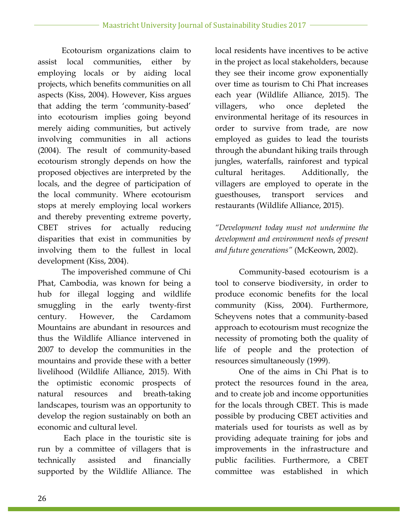Ecotourism organizations claim to assist local communities, either by employing locals or by aiding local projects, which benefits communities on all aspects (Kiss, 2004). However, Kiss argues that adding the term 'community-based' into ecotourism implies going beyond merely aiding communities, but actively involving communities in all actions (2004). The result of community-based ecotourism strongly depends on how the proposed objectives are interpreted by the locals, and the degree of participation of the local community. Where ecotourism stops at merely employing local workers and thereby preventing extreme poverty, CBET strives for actually reducing disparities that exist in communities by involving them to the fullest in local development (Kiss, 2004).

The impoverished commune of Chi Phat, Cambodia, was known for being a hub for illegal logging and wildlife smuggling in the early twenty-first century. However, the Cardamom Mountains are abundant in resources and thus the Wildlife Alliance intervened in 2007 to develop the communities in the mountains and provide these with a better livelihood (Wildlife Alliance, 2015). With the optimistic economic prospects of natural resources and breath-taking landscapes, tourism was an opportunity to develop the region sustainably on both an economic and cultural level.

Each place in the touristic site is run by a committee of villagers that is technically assisted and financially supported by the Wildlife Alliance. The local residents have incentives to be active in the project as local stakeholders, because they see their income grow exponentially over time as tourism to Chi Phat increases each year (Wildlife Alliance, 2015). The villagers, who once depleted the environmental heritage of its resources in order to survive from trade, are now employed as guides to lead the tourists through the abundant hiking trails through jungles, waterfalls, rainforest and typical cultural heritages. Additionally, the villagers are employed to operate in the guesthouses, transport services and restaurants (Wildlife Alliance, 2015).

*"Development today must not undermine the development and environment needs of present and future generations"* (McKeown, 2002).

Community-based ecotourism is a tool to conserve biodiversity, in order to produce economic benefits for the local community (Kiss, 2004). Furthermore, Scheyvens notes that a community-based approach to ecotourism must recognize the necessity of promoting both the quality of life of people and the protection of resources simultaneously (1999).

One of the aims in Chi Phat is to protect the resources found in the area, and to create job and income opportunities for the locals through CBET. This is made possible by producing CBET activities and materials used for tourists as well as by providing adequate training for jobs and improvements in the infrastructure and public facilities. Furthermore, a CBET committee was established in which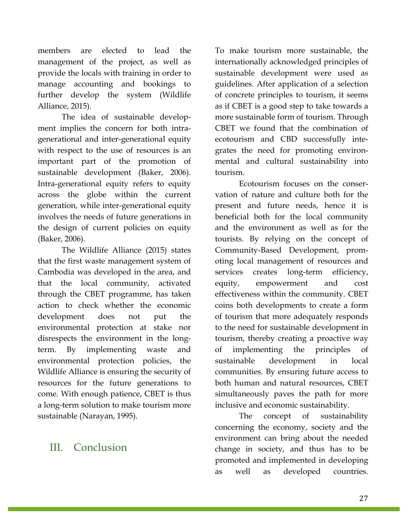members are elected to lead the management of the project, as well as provide the locals with training in order to manage accounting and bookings to further develop the system (Wildlife Alliance, 2015).

The idea of sustainable development implies the concern for both intragenerational and inter-generational equity with respect to the use of resources is an important part of the promotion of sustainable development (Baker, 2006). Intra-generational equity refers to equity across the globe within the current generation, while inter-generational equity involves the needs of future generations in the design of current policies on equity (Baker, 2006).

The Wildlife Alliance (2015) states that the first waste management system of Cambodia was developed in the area, and that the local community, activated through the CBET programme, has taken action to check whether the economic development does not put the environmental protection at stake nor disrespects the environment in the longterm. By implementing waste and environmental protection policies, the Wildlife Alliance is ensuring the security of resources for the future generations to come. With enough patience, CBET is thus a long-term solution to make tourism more sustainable (Narayan, 1995).

## III. Conclusion

To make tourism more sustainable, the internationally acknowledged principles of sustainable development were used as guidelines. After application of a selection of concrete principles to tourism, it seems as if CBET is a good step to take towards a more sustainable form of tourism. Through CBET we found that the combination of ecotourism and CBD successfully integrates the need for promoting environmental and cultural sustainability into tourism.

Ecotourism focuses on the conservation of nature and culture both for the present and future needs, hence it is beneficial both for the local community and the environment as well as for the tourists. By relying on the concept of Community-Based Development, promoting local management of resources and services creates long-term efficiency, equity, empowerment and cost effectiveness within the community. CBET coins both developments to create a form of tourism that more adequately responds to the need for sustainable development in tourism, thereby creating a proactive way of implementing the principles of sustainable development in local communities. By ensuring future access to both human and natural resources, CBET simultaneously paves the path for more inclusive and economic sustainability.

The concept of sustainability concerning the economy, society and the environment can bring about the needed change in society, and thus has to be promoted and implemented in developing as well as developed countries.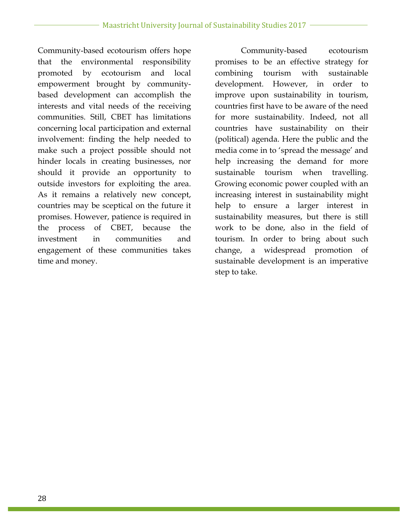Community-based ecotourism offers hope that the environmental responsibility promoted by ecotourism and local empowerment brought by communitybased development can accomplish the interests and vital needs of the receiving communities. Still, CBET has limitations concerning local participation and external involvement: finding the help needed to make such a project possible should not hinder locals in creating businesses, nor should it provide an opportunity to outside investors for exploiting the area. As it remains a relatively new concept, countries may be sceptical on the future it promises. However, patience is required in the process of CBET, because the investment in communities and engagement of these communities takes time and money.

Community-based ecotourism promises to be an effective strategy for combining tourism with sustainable development. However, in order to improve upon sustainability in tourism, countries first have to be aware of the need for more sustainability. Indeed, not all countries have sustainability on their (political) agenda. Here the public and the media come in to 'spread the message' and help increasing the demand for more sustainable tourism when travelling. Growing economic power coupled with an increasing interest in sustainability might help to ensure a larger interest in sustainability measures, but there is still work to be done, also in the field of tourism. In order to bring about such change, a widespread promotion of sustainable development is an imperative step to take.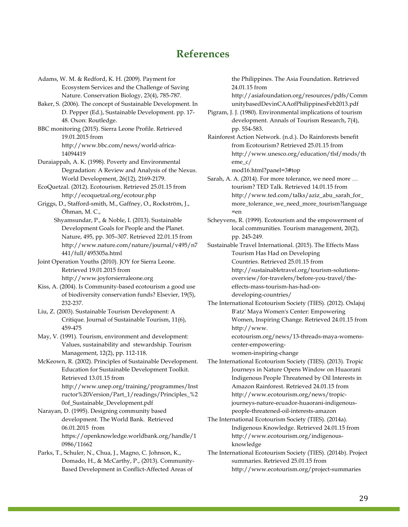### **References**

Adams, W. M. & Redford, K. H. (2009). Payment for Ecosystem Services and the Challenge of Saving Nature. Conservation Biology, 23(4), 785-787. Baker, S. (2006). The concept of Sustainable Development. In D. Pepper (Ed.), Sustainable Development. pp. 17- 48. Oxon: Routledge. BBC monitoring (2015). Sierra Leone Profile. Retrieved 19.01.2015 from http://www.bbc.com/news/world-africa-14094419 Duraiappah, A. K. (1998). Poverty and Environmental Degradation: A Review and Analysis of the Nexus. World Development, 26(12), 2169-2179. EcoQuetzal. (2012). Ecotourism. Retrieved 25.01.15 from http://ecoquetzal.org/ecotour.php Griggs, D., Stafford-smith, M., Gaffney, O., Rockström, J., Öhman, M. C., Shyamsundar, P., & Noble, I. (2013). Sustainable Development Goals for People and the Planet. Nature, 495, pp. 305–307. Retrieved 22.01.15 from http://www.nature.com/nature/journal/v495/n7 441/full/495305a.html Joint Operation Youths (2010). JOY for Sierra Leone. Retrieved 19.01.2015 from http://www.joyforsierraleone.org Kiss, A. (2004). Is Community-based ecotourism a good use of biodiversity conservation funds? Elsevier, 19(5), 232-237.

Liu, Z. (2003). Sustainable Tourism Development: A Critique. Journal of Sustainable Tourism, 11(6), 459-475

May, V. (1991). Tourism, environment and development: Values, sustainability and stewardship. Tourism Management, 12(2), pp. 112-118.

McKeown, R. (2002). Principles of Sustainable Development. Education for Sustainable Development Toolkit. Retrieved 13.01.15 from http://www.unep.org/training/programmes/Inst ructor%20Version/Part\_1/readings/Principles\_%2 0of\_Sustainable\_Development.pdf

Narayan, D. (1995). Designing community based development. The World Bank. Retrieved 06.01.2015 from https://openknowledge.worldbank.org/handle/1 0986/11662

Parks, T., Schuler, N., Chua, J., Magno, C. Johnson, K., Domado, H., & McCarthy, P., (2013). Community-Based Development in Conflict-Affected Areas of

the Philippines. The Asia Foundation. Retrieved 24.01.15 from

http://asiafoundation.org/resources/pdfs/Comm unitybasedDevinCAAofPhilippinesFeb2013.pdf

Pigram, J. J. (1980). Environmental implications of tourism development. Annals of Tourism Research, 7(4), pp. 554-583.

Rainforest Action Network. (n.d.). Do Rainforests benefit from Ecotourism? Retrieved 25.01.15 from http://www.unesco.org/education/tlsf/mods/th eme\_c/

mod16.html?panel=3#top

Sarah, A. A. (2014). For more tolerance, we need more … tourism? TED Talk. Retrieved 14.01.15 from http://www.ted.com/talks/aziz\_abu\_sarah\_for\_ more\_tolerance\_we\_need\_more\_tourism?language =en

Scheyvens, R. (1999). Ecotourism and the empowerment of local communities. Tourism management, 20(2), pp. 245-249.

Sustainable Travel International. (2015). The Effects Mass Tourism Has Had on Developing Countries. Retrieved 25.01.15 from http://sustainabletravel.org/tourism-solutions-

overview/for-travelers/before-you-travel/theeffects-mass-tourism-has-had-ondeveloping-countries/

The International Ecotourism Society (TIES). (2012). Oxlajuj

B'atz' Maya Women's Center: Empowering Women, Inspiring Change. Retrieved 24.01.15 from http://www.

ecotourism.org/news/13-threads-maya-womenscenter-empoweringwomen-inspiring-change

The International Ecotourism Society (TIES). (2013). Tropic Journeys in Nature Opens Window on Huaorani Indigenous People Threatened by Oil Interests in Amazon Rainforest. Retrieved 24.01.15 from http://www.ecotourism.org/news/tropicjourneys-nature-ecuador-huaorani-indigenouspeople-threatened-oil-interests-amazon

The International Ecotourism Society (TIES). (2014a). Indigenous Knowledge. Retrieved 24.01.15 from http://www.ecotourism.org/indigenousknowledge

The International Ecotourism Society (TIES). (2014b). Project summaries. Retrieved 25.01.15 from http://www.ecotourism.org/project-summaries